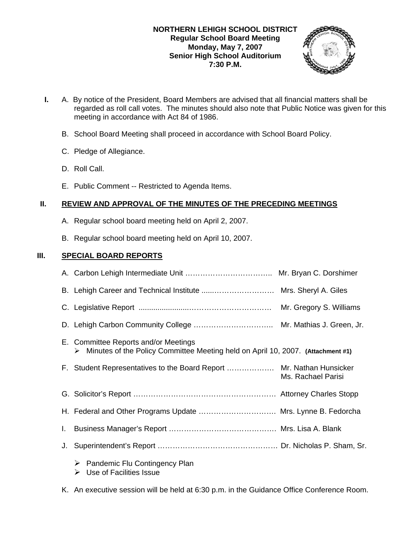# **NORTHERN LEHIGH SCHOOL DISTRICT Regular School Board Meeting Monday, May 7, 2007 Senior High School Auditorium 7:30 P.M.**



- **I.** A. By notice of the President, Board Members are advised that all financial matters shall be regarded as roll call votes. The minutes should also note that Public Notice was given for this meeting in accordance with Act 84 of 1986.
	- B. School Board Meeting shall proceed in accordance with School Board Policy.
	- C. Pledge of Allegiance.
	- D. Roll Call.
	- E. Public Comment -- Restricted to Agenda Items.

# **II. REVIEW AND APPROVAL OF THE MINUTES OF THE PRECEDING MEETINGS**

- A. Regular school board meeting held on April 2, 2007.
- B. Regular school board meeting held on April 10, 2007.

# **III. SPECIAL BOARD REPORTS**

|    |                                                                                                                           | Mr. Gregory S. Williams |
|----|---------------------------------------------------------------------------------------------------------------------------|-------------------------|
|    |                                                                                                                           |                         |
|    | E. Committee Reports and/or Meetings<br>> Minutes of the Policy Committee Meeting held on April 10, 2007. (Attachment #1) |                         |
|    | F. Student Representatives to the Board Report  Mr. Nathan Hunsicker                                                      | Ms. Rachael Parisi      |
|    |                                                                                                                           |                         |
|    | H. Federal and Other Programs Update  Mrs. Lynne B. Fedorcha                                                              |                         |
| I. |                                                                                                                           |                         |
| J. |                                                                                                                           |                         |
|    | $\triangleright$ Pandemic Flu Contingency Plan                                                                            |                         |

 $\triangleright$  Use of Facilities Issue

K. An executive session will be held at 6:30 p.m. in the Guidance Office Conference Room.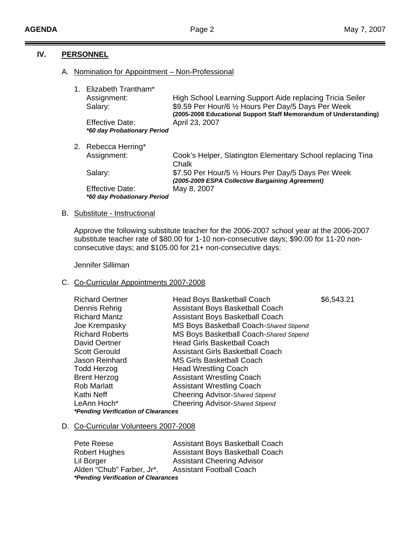# **IV. PERSONNEL**

## A. Nomination for Appointment – Non-Professional

| 1. Elizabeth Trantham*<br>Assignment:<br>Salary:             | High School Learning Support Aide replacing Tricia Seiler<br>\$9.59 Per Hour/6 1/2 Hours Per Day/5 Days Per Week<br>(2005-2008 Educational Support Staff Memorandum of Understanding) |
|--------------------------------------------------------------|---------------------------------------------------------------------------------------------------------------------------------------------------------------------------------------|
| <b>Effective Date:</b><br>*60 day Probationary Period        | April 23, 2007                                                                                                                                                                        |
| 2. Rebecca Herring*                                          |                                                                                                                                                                                       |
| Assignment:                                                  | Cook's Helper, Slatington Elementary School replacing Tina<br>Chalk                                                                                                                   |
| Salary:                                                      | \$7.50 Per Hour/5 1/2 Hours Per Day/5 Days Per Week<br>(2005-2009 ESPA Collective Bargaining Agreement)                                                                               |
| <b>Effective Date:</b><br><i>*60 day Probationary Period</i> | May 8, 2007                                                                                                                                                                           |

## B. Substitute - Instructional

Approve the following substitute teacher for the 2006-2007 school year at the 2006-2007 substitute teacher rate of \$80.00 for 1-10 non-consecutive days; \$90.00 for 11-20 non consecutive days; and \$105.00 for 21+ non-consecutive days:

Jennifer Silliman

## C. Co-Curricular Appointments 2007-2008

| <b>Richard Oertner</b>              | Head Boys Basketball Coach              | \$6,543.21 |  |
|-------------------------------------|-----------------------------------------|------------|--|
| Dennis Rehrig                       | Assistant Boys Basketball Coach         |            |  |
| <b>Richard Mantz</b>                | <b>Assistant Boys Basketball Coach</b>  |            |  |
| Joe Krempasky                       | MS Boys Basketball Coach-Shared Stipend |            |  |
| <b>Richard Roberts</b>              | MS Boys Basketball Coach-Shared Stipend |            |  |
| David Oertner                       | <b>Head Girls Basketball Coach</b>      |            |  |
| <b>Scott Gerould</b>                | <b>Assistant Girls Basketball Coach</b> |            |  |
| Jason Reinhard                      | <b>MS Girls Basketball Coach</b>        |            |  |
| <b>Todd Herzog</b>                  | <b>Head Wrestling Coach</b>             |            |  |
| <b>Brent Herzog</b>                 | <b>Assistant Wrestling Coach</b>        |            |  |
| <b>Rob Marlatt</b>                  | <b>Assistant Wrestling Coach</b>        |            |  |
| Kathi Neff                          | Cheering Advisor-Shared Stipend         |            |  |
| LeAnn Hoch*                         | Cheering Advisor-Shared Stipend         |            |  |
| *Pending Verification of Clearances |                                         |            |  |

# D. Co-Curricular Volunteers 2007-2008

| Pete Reese                                 | Assistant Boys Basketball Coach   |  |
|--------------------------------------------|-----------------------------------|--|
| <b>Robert Hughes</b>                       | Assistant Boys Basketball Coach   |  |
| Lil Borger                                 | <b>Assistant Cheering Advisor</b> |  |
| Alden "Chub" Farber, Jr*.                  | <b>Assistant Football Coach</b>   |  |
| <i>*Pending Verification of Clearances</i> |                                   |  |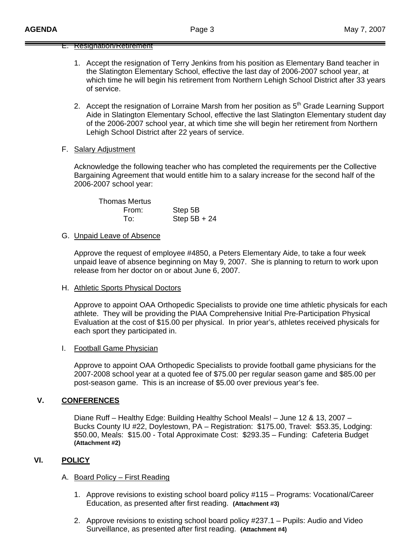# E. Resignation/Retirement

- 1. Accept the resignation of Terry Jenkins from his position as Elementary Band teacher in the Slatington Elementary School, effective the last day of 2006-2007 school year, at which time he will begin his retirement from Northern Lehigh School District after 33 years of service.
- 2. Accept the resignation of Lorraine Marsh from her position as 5<sup>th</sup> Grade Learning Support Aide in Slatington Elementary School, effective the last Slatington Elementary student day of the 2006-2007 school year, at which time she will begin her retirement from Northern Lehigh School District after 22 years of service.
- F. Salary Adjustment

 Acknowledge the following teacher who has completed the requirements per the Collective Bargaining Agreement that would entitle him to a salary increase for the second half of the 2006-2007 school year:

Thomas Mertus From: Step 5B To: Step 5B + 24

## G. Unpaid Leave of Absence

 Approve the request of employee #4850, a Peters Elementary Aide, to take a four week unpaid leave of absence beginning on May 9, 2007. She is planning to return to work upon release from her doctor on or about June 6, 2007.

## H. Athletic Sports Physical Doctors

 Approve to appoint OAA Orthopedic Specialists to provide one time athletic physicals for each athlete. They will be providing the PIAA Comprehensive Initial Pre-Participation Physical Evaluation at the cost of \$15.00 per physical. In prior year's, athletes received physicals for each sport they participated in.

## I. Football Game Physician

 Approve to appoint OAA Orthopedic Specialists to provide football game physicians for the 2007-2008 school year at a quoted fee of \$75.00 per regular season game and \$85.00 per post-season game. This is an increase of \$5.00 over previous year's fee.

# **V. CONFERENCES**

 Diane Ruff – Healthy Edge: Building Healthy School Meals! – June 12 & 13, 2007 – Bucks County IU #22, Doylestown, PA – Registration: \$175.00, Travel: \$53.35, Lodging: \$50.00, Meals: \$15.00 - Total Approximate Cost: \$293.35 – Funding: Cafeteria Budget **(Attachment #2)** 

# **VI. POLICY**

## A. Board Policy – First Reading

- 1. Approve revisions to existing school board policy #115 Programs: Vocational/Career Education, as presented after first reading. **(Attachment #3)**
- 2. Approve revisions to existing school board policy #237.1 Pupils: Audio and Video Surveillance, as presented after first reading. **(Attachment #4)**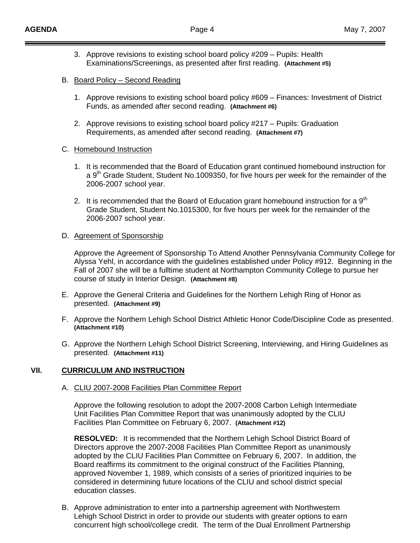- 3. Approve revisions to existing school board policy #209 Pupils: Health Examinations/Screenings, as presented after first reading. **(Attachment #5)**
- B. Board Policy Second Reading
	- 1. Approve revisions to existing school board policy #609 Finances: Investment of District Funds, as amended after second reading. **(Attachment #6)**
	- 2. Approve revisions to existing school board policy #217 Pupils: Graduation Requirements, as amended after second reading. **(Attachment #7)**

#### C. Homebound Instruction

- 1. It is recommended that the Board of Education grant continued homebound instruction for a  $9<sup>th</sup>$  Grade Student, Student No.1009350, for five hours per week for the remainder of the 2006-2007 school year.
- 2. It is recommended that the Board of Education grant homebound instruction for a  $9<sup>th</sup>$ Grade Student, Student No.1015300, for five hours per week for the remainder of the 2006-2007 school year.

#### D. Agreement of Sponsorship

Approve the Agreement of Sponsorship To Attend Another Pennsylvania Community College for Alyssa Yehl, in accordance with the guidelines established under Policy #912. Beginning in the Fall of 2007 she will be a fulltime student at Northampton Community College to pursue her course of study in Interior Design. **(Attachment #8)** 

- E. Approve the General Criteria and Guidelines for the Northern Lehigh Ring of Honor as presented. **(Attachment #9)**
- F. Approve the Northern Lehigh School District Athletic Honor Code/Discipline Code as presented. **(Attachment #10)**
- G. Approve the Northern Lehigh School District Screening, Interviewing, and Hiring Guidelines as presented. **(Attachment #11)**

## **VII. CURRICULUM AND INSTRUCTION**

## A. CLIU 2007-2008 Facilities Plan Committee Report

 Approve the following resolution to adopt the 2007-2008 Carbon Lehigh Intermediate Unit Facilities Plan Committee Report that was unanimously adopted by the CLIU Facilities Plan Committee on February 6, 2007. **(Attachment #12)** 

 **RESOLVED:** It is recommended that the Northern Lehigh School District Board of Directors approve the 2007-2008 Facilities Plan Committee Report as unanimously adopted by the CLIU Facilities Plan Committee on February 6, 2007. In addition, the Board reaffirms its commitment to the original construct of the Facilities Planning, approved November 1, 1989, which consists of a series of prioritized inquiries to be considered in determining future locations of the CLIU and school district special education classes.

B. Approve administration to enter into a partnership agreement with Northwestern Lehigh School District in order to provide our students with greater options to earn concurrent high school/college credit. The term of the Dual Enrollment Partnership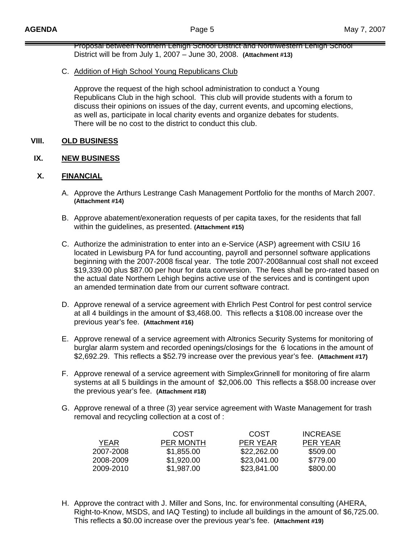Proposal between Northern Lehigh School District and Northwestern Lehigh School District will be from July 1, 2007 – June 30, 2008. **(Attachment #13)**

C. Addition of High School Young Republicans Club

 Approve the request of the high school administration to conduct a Young Republicans Club in the high school. This club will provide students with a forum to discuss their opinions on issues of the day, current events, and upcoming elections, as well as, participate in local charity events and organize debates for students. There will be no cost to the district to conduct this club.

# **VIII. OLD BUSINESS**

# **IX. NEW BUSINESS**

# **X. FINANCIAL**

- A. Approve the Arthurs Lestrange Cash Management Portfolio for the months of March 2007. **(Attachment #14)**
- B. Approve abatement/exoneration requests of per capita taxes, for the residents that fall within the guidelines, as presented. **(Attachment #15)**
- C. Authorize the administration to enter into an e-Service (ASP) agreement with CSIU 16 located in Lewisburg PA for fund accounting, payroll and personnel software applications beginning with the 2007-2008 fiscal year. The totle 2007-2008annual cost shall not exceed \$19,339.00 plus \$87.00 per hour for data conversion. The fees shall be pro-rated based on the actual date Northern Lehigh begins active use of the services and is contingent upon an amended termination date from our current software contract.
- D. Approve renewal of a service agreement with Ehrlich Pest Control for pest control service at all 4 buildings in the amount of \$3,468.00. This reflects a \$108.00 increase over the previous year's fee. **(Attachment #16)**
- E. Approve renewal of a service agreement with Altronics Security Systems for monitoring of burglar alarm system and recorded openings/closings for the 6 locations in the amount of \$2,692.29. This reflects a \$52.79 increase over the previous year's fee. **(Attachment #17)**
- F. Approve renewal of a service agreement with SimplexGrinnell for monitoring of fire alarm systems at all 5 buildings in the amount of \$2,006.00 This reflects a \$58.00 increase over the previous year's fee. **(Attachment #18)**
- G. Approve renewal of a three (3) year service agreement with Waste Management for trash removal and recycling collection at a cost of :

|           | COST             | COST        | <b>INCREASE</b> |
|-----------|------------------|-------------|-----------------|
| YEAR      | <b>PER MONTH</b> | PER YEAR    | PER YEAR        |
| 2007-2008 | \$1,855.00       | \$22,262.00 | \$509.00        |
| 2008-2009 | \$1,920.00       | \$23,041.00 | \$779.00        |
| 2009-2010 | \$1,987.00       | \$23,841.00 | \$800.00        |

H. Approve the contract with J. Miller and Sons, Inc. for environmental consulting (AHERA, Right-to-Know, MSDS, and IAQ Testing) to include all buildings in the amount of \$6,725.00. This reflects a \$0.00 increase over the previous year's fee. **(Attachment #19)**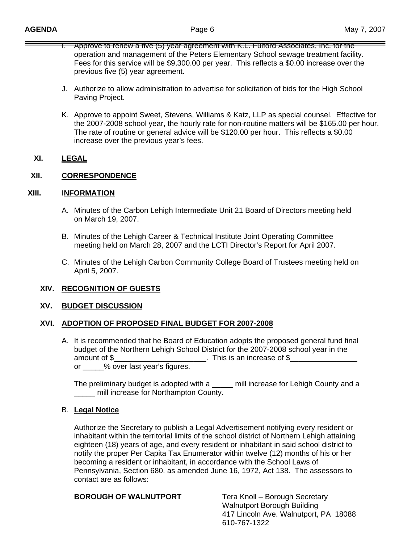- I. Approve to renew a five (5) year agreement with K.L. Fulford Associates, Inc. for the operation and management of the Peters Elementary School sewage treatment facility. Fees for this service will be \$9,300.00 per year. This reflects a \$0.00 increase over the previous five (5) year agreement.
- J. Authorize to allow administration to advertise for solicitation of bids for the High School Paving Project.
- K. Approve to appoint Sweet, Stevens, Williams & Katz, LLP as special counsel. Effective for the 2007-2008 school year, the hourly rate for non-routine matters will be \$165.00 per hour. The rate of routine or general advice will be \$120.00 per hour. This reflects a \$0.00 increase over the previous year's fees.

# **XI. LEGAL**

# **XII. CORRESPONDENCE**

# **XIII.** I**NFORMATION**

- A. Minutes of the Carbon Lehigh Intermediate Unit 21 Board of Directors meeting held on March 19, 2007.
- B. Minutes of the Lehigh Career & Technical Institute Joint Operating Committee meeting held on March 28, 2007 and the LCTI Director's Report for April 2007.
- C. Minutes of the Lehigh Carbon Community College Board of Trustees meeting held on April 5, 2007.

# **XIV. RECOGNITION OF GUESTS**

## **XV. BUDGET DISCUSSION**

## **XVI. ADOPTION OF PROPOSED FINAL BUDGET FOR 2007-2008**

A. It is recommended that he Board of Education adopts the proposed general fund final budget of the Northern Lehigh School District for the 2007-2008 school year in the amount of \$\_\_\_\_\_\_\_\_\_\_\_\_\_\_\_\_\_\_\_\_\_\_. This is an increase of \$\_\_\_\_\_\_\_\_\_\_\_\_\_\_\_\_ or  $\%$  over last year's figures.

The preliminary budget is adopted with a \_\_\_\_\_ mill increase for Lehigh County and a \_\_\_\_\_ mill increase for Northampton County.

## B. **Legal Notice**

 Authorize the Secretary to publish a Legal Advertisement notifying every resident or inhabitant within the territorial limits of the school district of Northern Lehigh attaining eighteen (18) years of age, and every resident or inhabitant in said school district to notify the proper Per Capita Tax Enumerator within twelve (12) months of his or her becoming a resident or inhabitant, in accordance with the School Laws of Pennsylvania, Section 680. as amended June 16, 1972, Act 138. The assessors to contact are as follows:

## **BOROUGH OF WALNUTPORT** Tera Knoll – Borough Secretary

Walnutport Borough Building 417 Lincoln Ave. Walnutport, PA 18088 610-767-1322